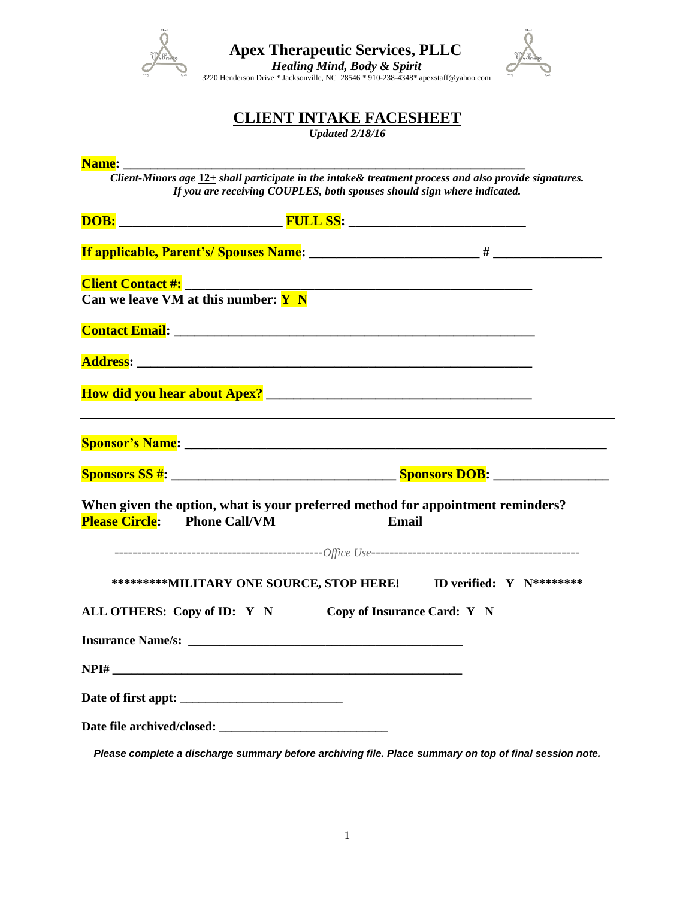

*Healing Mind, Body & Spirit*<br>
3220 Henderson Drive \* Jacksonville, NC 28546 \* 910-238-4348\* apexstaff@yahoo.com



## **CLIENT INTAKE FACESHEET**

*Updated 2/18/16*

| <b>Name:</b> _ |                                                                                     |                                                                                                                                                                                  |                             |  |
|----------------|-------------------------------------------------------------------------------------|----------------------------------------------------------------------------------------------------------------------------------------------------------------------------------|-----------------------------|--|
|                |                                                                                     | Client-Minors age 12+ shall participate in the intake& treatment process and also provide signatures.<br>If you are receiving COUPLES, both spouses should sign where indicated. |                             |  |
|                |                                                                                     |                                                                                                                                                                                  |                             |  |
|                |                                                                                     |                                                                                                                                                                                  |                             |  |
|                |                                                                                     |                                                                                                                                                                                  |                             |  |
|                |                                                                                     |                                                                                                                                                                                  |                             |  |
|                |                                                                                     |                                                                                                                                                                                  |                             |  |
|                | Can we leave $\overline{\text{VM}}$ at this number: $\overline{\text{Y} \text{ N}}$ |                                                                                                                                                                                  |                             |  |
|                |                                                                                     |                                                                                                                                                                                  |                             |  |
|                |                                                                                     | <b>Contact Email:</b> 2008. 2008. 2010. 2010. 2010. 2010. 2010. 2010. 2010. 2010. 2010. 2010. 2010. 2010. 2010. 2010                                                             |                             |  |
|                |                                                                                     |                                                                                                                                                                                  |                             |  |
|                |                                                                                     |                                                                                                                                                                                  |                             |  |
|                |                                                                                     |                                                                                                                                                                                  |                             |  |
|                |                                                                                     |                                                                                                                                                                                  |                             |  |
|                |                                                                                     |                                                                                                                                                                                  |                             |  |
|                |                                                                                     |                                                                                                                                                                                  |                             |  |
|                |                                                                                     |                                                                                                                                                                                  |                             |  |
|                |                                                                                     |                                                                                                                                                                                  |                             |  |
|                |                                                                                     | When given the option, what is your preferred method for appointment reminders?                                                                                                  | Email                       |  |
|                | <b>Please Circle:</b> Phone Call/VM                                                 |                                                                                                                                                                                  |                             |  |
|                |                                                                                     |                                                                                                                                                                                  |                             |  |
|                |                                                                                     |                                                                                                                                                                                  |                             |  |
|                |                                                                                     | **********MILITARY ONE SOURCE, STOP HERE! ID verified: Y N*********                                                                                                              |                             |  |
|                | ALL OTHERS: Copy of ID: Y N                                                         |                                                                                                                                                                                  | Copy of Insurance Card: Y N |  |
|                |                                                                                     |                                                                                                                                                                                  |                             |  |
|                |                                                                                     |                                                                                                                                                                                  |                             |  |
|                |                                                                                     |                                                                                                                                                                                  |                             |  |
|                |                                                                                     |                                                                                                                                                                                  |                             |  |
|                |                                                                                     |                                                                                                                                                                                  |                             |  |
|                |                                                                                     |                                                                                                                                                                                  |                             |  |

*Please complete a discharge summary before archiving file. Place summary on top of final session note.*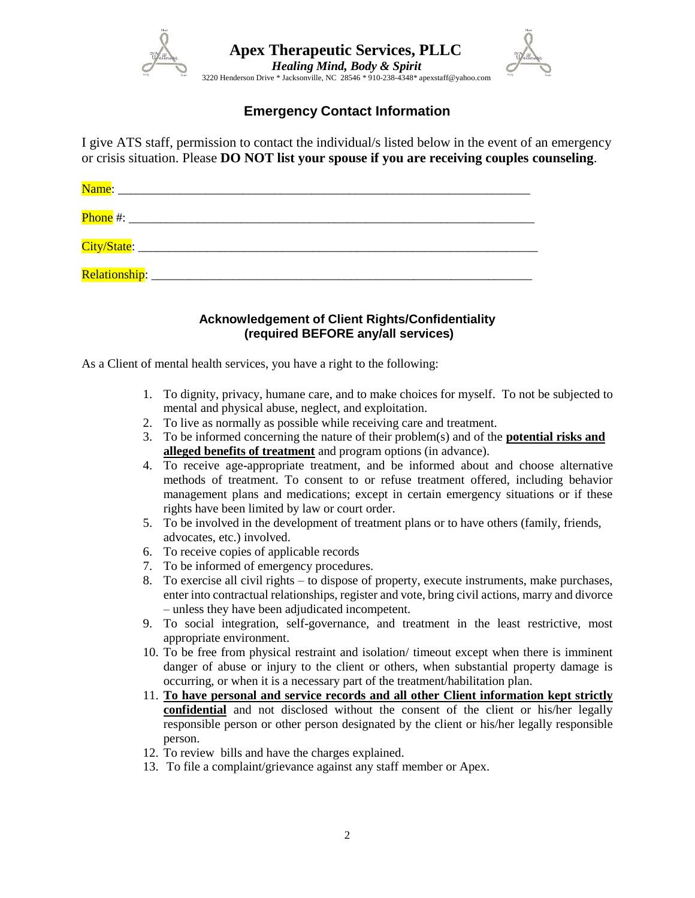

## **Emergency Contact Information**

I give ATS staff, permission to contact the individual/s listed below in the event of an emergency or crisis situation. Please **DO NOT list your spouse if you are receiving couples counseling**.

| Name:                        |                                                              |  |  |
|------------------------------|--------------------------------------------------------------|--|--|
| Phone $#$ :                  | <u> 1980 - Jan Barbarat, martin al-Amerikaansk politik (</u> |  |  |
| City/State: ________________ |                                                              |  |  |
| <b>Relationship:</b>         |                                                              |  |  |

### **Acknowledgement of Client Rights/Confidentiality (required BEFORE any/all services)**

As a Client of mental health services, you have a right to the following:

- 1. To dignity, privacy, humane care, and to make choices for myself. To not be subjected to mental and physical abuse, neglect, and exploitation.
- 2. To live as normally as possible while receiving care and treatment.
- 3. To be informed concerning the nature of their problem(s) and of the **potential risks and alleged benefits of treatment** and program options (in advance).
- 4. To receive age-appropriate treatment, and be informed about and choose alternative methods of treatment. To consent to or refuse treatment offered, including behavior management plans and medications; except in certain emergency situations or if these rights have been limited by law or court order.
- 5. To be involved in the development of treatment plans or to have others (family, friends, advocates, etc.) involved.
- 6. To receive copies of applicable records
- 7. To be informed of emergency procedures.
- 8. To exercise all civil rights to dispose of property, execute instruments, make purchases, enter into contractual relationships, register and vote, bring civil actions, marry and divorce – unless they have been adjudicated incompetent.
- 9. To social integration, self-governance, and treatment in the least restrictive, most appropriate environment.
- 10. To be free from physical restraint and isolation/ timeout except when there is imminent danger of abuse or injury to the client or others, when substantial property damage is occurring, or when it is a necessary part of the treatment/habilitation plan.
- 11. **To have personal and service records and all other Client information kept strictly confidential** and not disclosed without the consent of the client or his/her legally responsible person or other person designated by the client or his/her legally responsible person.
- 12. To review bills and have the charges explained.
- 13. To file a complaint/grievance against any staff member or Apex.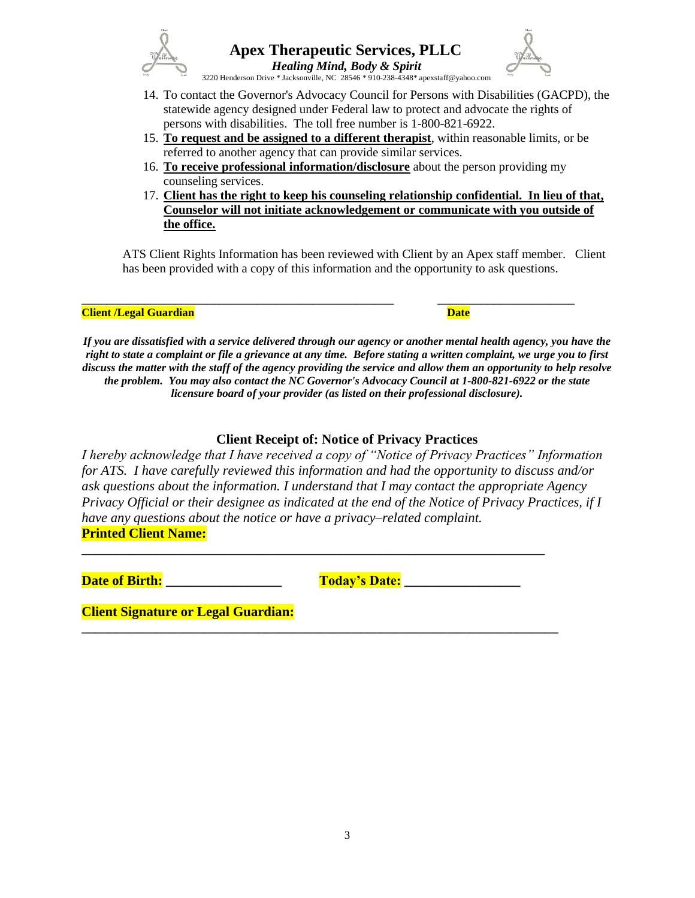



 *Healing Mind, Body & Spirit* 3220 Henderson Drive \* Jacksonville, NC 28546 \* 910-238-4348\* apexstaff@yahoo.com

- 14. To contact the Governor's Advocacy Council for Persons with Disabilities (GACPD), the statewide agency designed under Federal law to protect and advocate the rights of persons with disabilities. The toll free number is 1-800-821-6922.
- 15. **To request and be assigned to a different therapist**, within reasonable limits, or be referred to another agency that can provide similar services.
- 16. **To receive professional information/disclosure** about the person providing my counseling services.
- 17. **Client has the right to keep his counseling relationship confidential. In lieu of that, Counselor will not initiate acknowledgement or communicate with you outside of the office.**

ATS Client Rights Information has been reviewed with Client by an Apex staff member. Client has been provided with a copy of this information and the opportunity to ask questions.

### **Client /Legal Guardian Community Client / Date**

*If you are dissatisfied with a service delivered through our agency or another mental health agency, you have the right to state a complaint or file a grievance at any time. Before stating a written complaint, we urge you to first discuss the matter with the staff of the agency providing the service and allow them an opportunity to help resolve the problem. You may also contact the NC Governor's Advocacy Council at 1-800-821-6922 or the state licensure board of your provider (as listed on their professional disclosure).*

\_\_\_\_\_\_\_\_\_\_\_\_\_\_\_\_\_\_\_\_\_\_\_\_\_\_\_\_\_\_\_\_\_\_\_\_\_\_\_\_\_\_\_\_\_\_\_\_\_\_ \_\_\_\_\_\_\_\_\_\_\_\_\_\_\_\_\_\_\_\_\_\_

## **Client Receipt of: Notice of Privacy Practices**

*I hereby acknowledge that I have received a copy of "Notice of Privacy Practices" Information for ATS. I have carefully reviewed this information and had the opportunity to discuss and/or ask questions about the information. I understand that I may contact the appropriate Agency Privacy Official or their designee as indicated at the end of the Notice of Privacy Practices, if I have any questions about the notice or have a privacy–related complaint.*  **Printed Client Name:**

**\_\_\_\_\_\_\_\_\_\_\_\_\_\_\_\_\_\_\_\_\_\_\_\_\_\_\_\_\_\_\_\_\_\_\_\_\_\_\_\_\_\_\_\_\_\_\_\_\_\_\_\_\_\_\_\_\_\_\_\_\_\_\_\_\_\_\_\_**

**\_\_\_\_\_\_\_\_\_\_\_\_\_\_\_\_\_\_\_\_\_\_\_\_\_\_\_\_\_\_\_\_\_\_\_\_\_\_\_\_\_\_\_\_\_\_\_\_\_\_\_\_\_\_\_\_\_\_\_\_\_\_\_\_\_\_\_\_\_\_**

**Date of Birth: and Today's Date: and Today's Date:** 

**Client Signature or Legal Guardian:**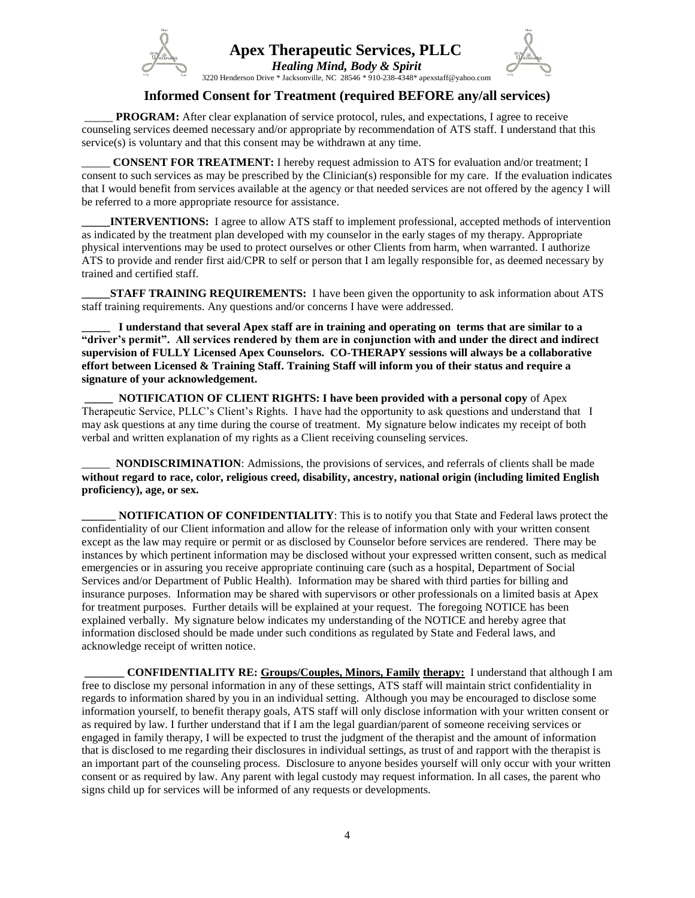

 *Healing Mind, Body & Spirit* 3220 Henderson Drive \* Jacksonville, NC 28546 \* 910-238-4348\* apexstaff@yahoo.com



**Informed Consent for Treatment (required BEFORE any/all services)**

**PROGRAM:** After clear explanation of service protocol, rules, and expectations, I agree to receive counseling services deemed necessary and/or appropriate by recommendation of ATS staff. I understand that this service(s) is voluntary and that this consent may be withdrawn at any time.

**CONSENT FOR TREATMENT:** I hereby request admission to ATS for evaluation and/or treatment; I consent to such services as may be prescribed by the Clinician(s) responsible for my care. If the evaluation indicates that I would benefit from services available at the agency or that needed services are not offered by the agency I will be referred to a more appropriate resource for assistance.

**INTERVENTIONS:** I agree to allow ATS staff to implement professional, accepted methods of intervention as indicated by the treatment plan developed with my counselor in the early stages of my therapy. Appropriate physical interventions may be used to protect ourselves or other Clients from harm, when warranted. I authorize ATS to provide and render first aid/CPR to self or person that I am legally responsible for, as deemed necessary by trained and certified staff.

**STAFF TRAINING REQUIREMENTS:** I have been given the opportunity to ask information about ATS staff training requirements. Any questions and/or concerns I have were addressed.

**\_\_\_\_\_ I understand that several Apex staff are in training and operating on terms that are similar to a "driver's permit". All services rendered by them are in conjunction with and under the direct and indirect supervision of FULLY Licensed Apex Counselors. CO-THERAPY sessions will always be a collaborative effort between Licensed & Training Staff. Training Staff will inform you of their status and require a signature of your acknowledgement.**

**\_\_\_\_\_ NOTIFICATION OF CLIENT RIGHTS: I have been provided with a personal copy** of Apex Therapeutic Service, PLLC's Client's Rights. I have had the opportunity to ask questions and understand that I may ask questions at any time during the course of treatment. My signature below indicates my receipt of both verbal and written explanation of my rights as a Client receiving counseling services.

**NONDISCRIMINATION:** Admissions, the provisions of services, and referrals of clients shall be made **without regard to race, color, religious creed, disability, ancestry, national origin (including limited English proficiency), age, or sex.**

**NOTIFICATION OF CONFIDENTIALITY:** This is to notify you that State and Federal laws protect the confidentiality of our Client information and allow for the release of information only with your written consent except as the law may require or permit or as disclosed by Counselor before services are rendered. There may be instances by which pertinent information may be disclosed without your expressed written consent, such as medical emergencies or in assuring you receive appropriate continuing care (such as a hospital, Department of Social Services and/or Department of Public Health). Information may be shared with third parties for billing and insurance purposes. Information may be shared with supervisors or other professionals on a limited basis at Apex for treatment purposes. Further details will be explained at your request. The foregoing NOTICE has been explained verbally. My signature below indicates my understanding of the NOTICE and hereby agree that information disclosed should be made under such conditions as regulated by State and Federal laws, and acknowledge receipt of written notice.

**\_\_\_\_\_\_\_ CONFIDENTIALITY RE: Groups/Couples, Minors, Family therapy:** I understand that although I am free to disclose my personal information in any of these settings, ATS staff will maintain strict confidentiality in regards to information shared by you in an individual setting. Although you may be encouraged to disclose some information yourself, to benefit therapy goals, ATS staff will only disclose information with your written consent or as required by law. I further understand that if I am the legal guardian/parent of someone receiving services or engaged in family therapy, I will be expected to trust the judgment of the therapist and the amount of information that is disclosed to me regarding their disclosures in individual settings, as trust of and rapport with the therapist is an important part of the counseling process. Disclosure to anyone besides yourself will only occur with your written consent or as required by law. Any parent with legal custody may request information. In all cases, the parent who signs child up for services will be informed of any requests or developments.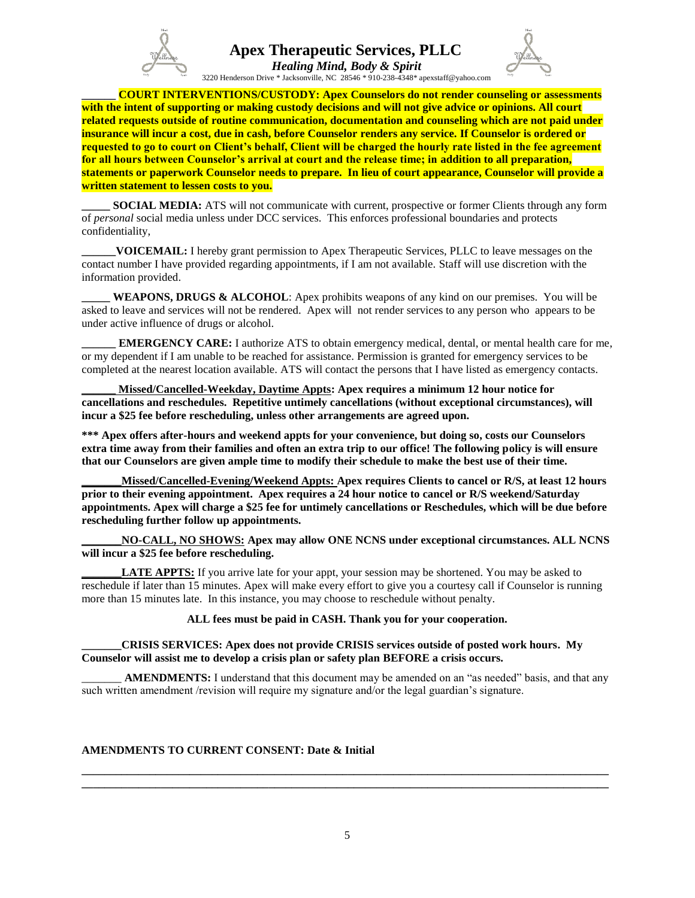

 *Healing Mind, Body & Spirit* 3220 Henderson Drive \* Jacksonville, NC 28546 \* 910-238-4348\* apexstaff@yahoo.com



**COURT INTERVENTIONS/CUSTODY: Apex Counselors do not render counseling or assessments with the intent of supporting or making custody decisions and will not give advice or opinions. All court related requests outside of routine communication, documentation and counseling which are not paid under insurance will incur a cost, due in cash, before Counselor renders any service. If Counselor is ordered or requested to go to court on Client's behalf, Client will be charged the hourly rate listed in the fee agreement for all hours between Counselor's arrival at court and the release time; in addition to all preparation, statements or paperwork Counselor needs to prepare. In lieu of court appearance, Counselor will provide a written statement to lessen costs to you.**

**\_\_\_\_\_ SOCIAL MEDIA:** ATS will not communicate with current, prospective or former Clients through any form of *personal* social media unless under DCC services. This enforces professional boundaries and protects confidentiality,

**\_\_\_\_\_\_VOICEMAIL:** I hereby grant permission to Apex Therapeutic Services, PLLC to leave messages on the contact number I have provided regarding appointments, if I am not available. Staff will use discretion with the information provided.

**WEAPONS, DRUGS & ALCOHOL:** Apex prohibits weapons of any kind on our premises. You will be asked to leave and services will not be rendered. Apex will not render services to any person who appears to be under active influence of drugs or alcohol.

**\_\_\_\_\_\_ EMERGENCY CARE:** I authorize ATS to obtain emergency medical, dental, or mental health care for me, or my dependent if I am unable to be reached for assistance. Permission is granted for emergency services to be completed at the nearest location available. ATS will contact the persons that I have listed as emergency contacts.

**\_\_\_\_\_\_ Missed/Cancelled-Weekday, Daytime Appts: Apex requires a minimum 12 hour notice for cancellations and reschedules. Repetitive untimely cancellations (without exceptional circumstances), will incur a \$25 fee before rescheduling, unless other arrangements are agreed upon.**

**\*\*\* Apex offers after-hours and weekend appts for your convenience, but doing so, costs our Counselors extra time away from their families and often an extra trip to our office! The following policy is will ensure that our Counselors are given ample time to modify their schedule to make the best use of their time.**

**\_\_\_\_\_\_\_Missed/Cancelled-Evening/Weekend Appts: Apex requires Clients to cancel or R/S, at least 12 hours prior to their evening appointment. Apex requires a 24 hour notice to cancel or R/S weekend/Saturday appointments. Apex will charge a \$25 fee for untimely cancellations or Reschedules, which will be due before rescheduling further follow up appointments.** 

**\_\_\_\_\_\_\_NO-CALL, NO SHOWS: Apex may allow ONE NCNS under exceptional circumstances. ALL NCNS will incur a \$25 fee before rescheduling.**

**LATE APPTS:** If you arrive late for your appt, your session may be shortened. You may be asked to reschedule if later than 15 minutes. Apex will make every effort to give you a courtesy call if Counselor is running more than 15 minutes late. In this instance, you may choose to reschedule without penalty.

**ALL fees must be paid in CASH. Thank you for your cooperation.**

**\_\_\_\_\_\_\_CRISIS SERVICES: Apex does not provide CRISIS services outside of posted work hours. My Counselor will assist me to develop a crisis plan or safety plan BEFORE a crisis occurs.** 

AMENDMENTS: I understand that this document may be amended on an "as needed" basis, and that any such written amendment /revision will require my signature and/or the legal guardian's signature.

### **AMENDMENTS TO CURRENT CONSENT: Date & Initial**

**\_\_\_\_\_\_\_\_\_\_\_\_\_\_\_\_\_\_\_\_\_\_\_\_\_\_\_\_\_\_\_\_\_\_\_\_\_\_\_\_\_\_\_\_\_\_\_\_\_\_\_\_\_\_\_\_\_\_\_\_\_\_\_\_\_\_\_\_\_\_\_\_\_\_\_\_\_\_\_\_\_\_\_\_\_\_\_\_\_\_\_\_\_ \_\_\_\_\_\_\_\_\_\_\_\_\_\_\_\_\_\_\_\_\_\_\_\_\_\_\_\_\_\_\_\_\_\_\_\_\_\_\_\_\_\_\_\_\_\_\_\_\_\_\_\_\_\_\_\_\_\_\_\_\_\_\_\_\_\_\_\_\_\_\_\_\_\_\_\_\_\_\_\_\_\_\_\_\_\_\_\_\_\_\_\_\_**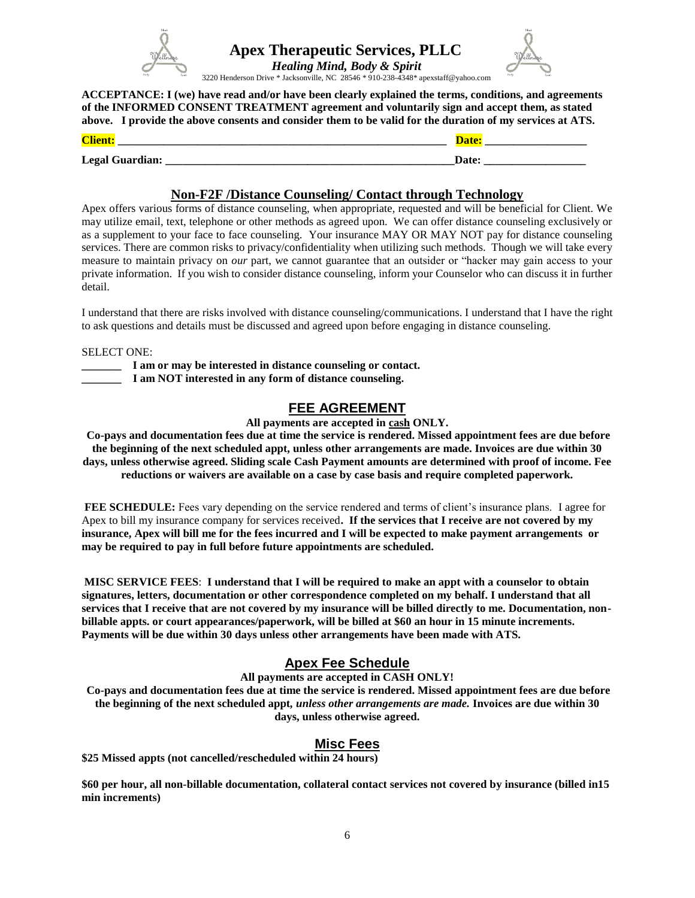



 *Healing Mind, Body & Spirit* 3220 Henderson Drive \* Jacksonville, NC 28546 \* 910-238-4348\* apexstaff@yahoo.com

**ACCEPTANCE: I (we) have read and/or have been clearly explained the terms, conditions, and agreements of the INFORMED CONSENT TREATMENT agreement and voluntarily sign and accept them, as stated above. I provide the above consents and consider them to be valid for the duration of my services at ATS.**

| $\sim$<br>_____________                    | ____________________ |
|--------------------------------------------|----------------------|
| $\mathbf{r}$<br>$\alpha$<br>$\mathbf{w}_b$ |                      |

### **Non-F2F /Distance Counseling/ Contact through Technology**

Apex offers various forms of distance counseling, when appropriate, requested and will be beneficial for Client. We may utilize email, text, telephone or other methods as agreed upon. We can offer distance counseling exclusively or as a supplement to your face to face counseling. Your insurance MAY OR MAY NOT pay for distance counseling services. There are common risks to privacy/confidentiality when utilizing such methods. Though we will take every measure to maintain privacy on *our* part, we cannot guarantee that an outsider or "hacker may gain access to your private information. If you wish to consider distance counseling, inform your Counselor who can discuss it in further detail.

I understand that there are risks involved with distance counseling/communications. I understand that I have the right to ask questions and details must be discussed and agreed upon before engaging in distance counseling.

SELECT ONE:

**\_\_\_\_\_\_\_ I am or may be interested in distance counseling or contact. \_\_\_\_\_\_\_ I am NOT interested in any form of distance counseling.**

## **FEE AGREEMENT**

**All payments are accepted in cash ONLY.**

**Co-pays and documentation fees due at time the service is rendered. Missed appointment fees are due before the beginning of the next scheduled appt, unless other arrangements are made. Invoices are due within 30 days, unless otherwise agreed. Sliding scale Cash Payment amounts are determined with proof of income. Fee reductions or waivers are available on a case by case basis and require completed paperwork.**

**FEE SCHEDULE:** Fees vary depending on the service rendered and terms of client's insurance plans. I agree for Apex to bill my insurance company for services received**. If the services that I receive are not covered by my insurance, Apex will bill me for the fees incurred and I will be expected to make payment arrangements or may be required to pay in full before future appointments are scheduled.**

**MISC SERVICE FEES**: **I understand that I will be required to make an appt with a counselor to obtain signatures, letters, documentation or other correspondence completed on my behalf. I understand that all services that I receive that are not covered by my insurance will be billed directly to me. Documentation, nonbillable appts. or court appearances/paperwork, will be billed at \$60 an hour in 15 minute increments. Payments will be due within 30 days unless other arrangements have been made with ATS.**

## **Apex Fee Schedule**

**All payments are accepted in CASH ONLY!**

**Co-pays and documentation fees due at time the service is rendered. Missed appointment fees are due before the beginning of the next scheduled appt***, unless other arrangements are made.* **Invoices are due within 30 days, unless otherwise agreed.** 

## **Misc Fees**

**\$25 Missed appts (not cancelled/rescheduled within 24 hours)** 

**\$60 per hour, all non-billable documentation, collateral contact services not covered by insurance (billed in15 min increments)**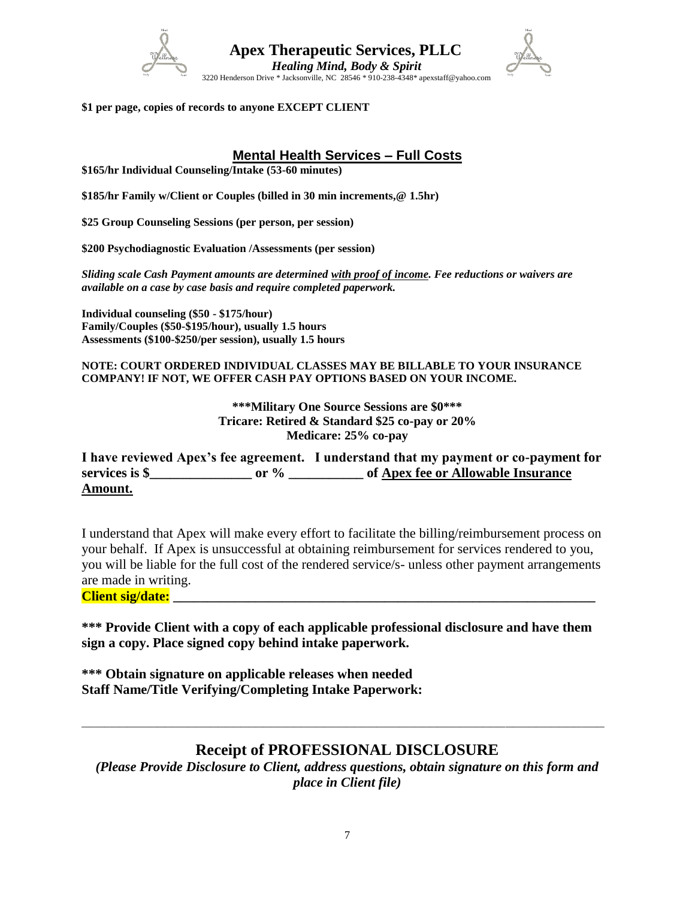



**\$1 per page, copies of records to anyone EXCEPT CLIENT**

## **Mental Health Services – Full Costs**

**\$165/hr Individual Counseling/Intake (53-60 minutes)**

**\$185/hr Family w/Client or Couples (billed in 30 min increments,@ 1.5hr)**

**\$25 Group Counseling Sessions (per person, per session)**

**\$200 Psychodiagnostic Evaluation /Assessments (per session)**

*Sliding scale Cash Payment amounts are determined with proof of income. Fee reductions or waivers are available on a case by case basis and require completed paperwork.*

**Individual counseling (\$50 - \$175/hour) Family/Couples (\$50-\$195/hour), usually 1.5 hours Assessments (\$100-\$250/per session), usually 1.5 hours**

### **NOTE: COURT ORDERED INDIVIDUAL CLASSES MAY BE BILLABLE TO YOUR INSURANCE COMPANY! IF NOT, WE OFFER CASH PAY OPTIONS BASED ON YOUR INCOME.**

**\*\*\*Military One Source Sessions are \$0\*\*\* Tricare: Retired & Standard \$25 co-pay or 20% Medicare: 25% co-pay**

**I have reviewed Apex's fee agreement. I understand that my payment or co-payment for services is \$\_\_\_\_\_\_\_\_\_\_\_\_\_\_\_ or % \_\_\_\_\_\_\_\_\_\_\_ of Apex fee or Allowable Insurance Amount.**

I understand that Apex will make every effort to facilitate the billing/reimbursement process on your behalf. If Apex is unsuccessful at obtaining reimbursement for services rendered to you, you will be liable for the full cost of the rendered service/s- unless other payment arrangements are made in writing.

**Client sig/date: \_\_\_\_\_\_\_\_\_\_\_\_\_\_\_\_\_\_\_\_\_\_\_\_\_\_\_\_\_\_\_\_\_\_\_\_\_\_\_\_\_\_\_\_\_\_\_\_\_\_\_\_\_\_\_\_\_\_\_\_\_\_**

**\*\*\* Provide Client with a copy of each applicable professional disclosure and have them sign a copy. Place signed copy behind intake paperwork.**

**\*\*\* Obtain signature on applicable releases when needed Staff Name/Title Verifying/Completing Intake Paperwork:** 

## **Receipt of PROFESSIONAL DISCLOSURE**

**\_\_\_\_\_\_\_\_\_\_\_\_\_\_\_\_\_\_\_\_\_\_\_\_\_\_\_\_\_\_\_\_\_\_\_\_\_\_\_\_\_\_\_\_\_\_\_\_\_\_\_\_\_\_\_\_\_\_\_\_\_\_\_\_\_\_\_\_\_**

*(Please Provide Disclosure to Client, address questions, obtain signature on this form and place in Client file)*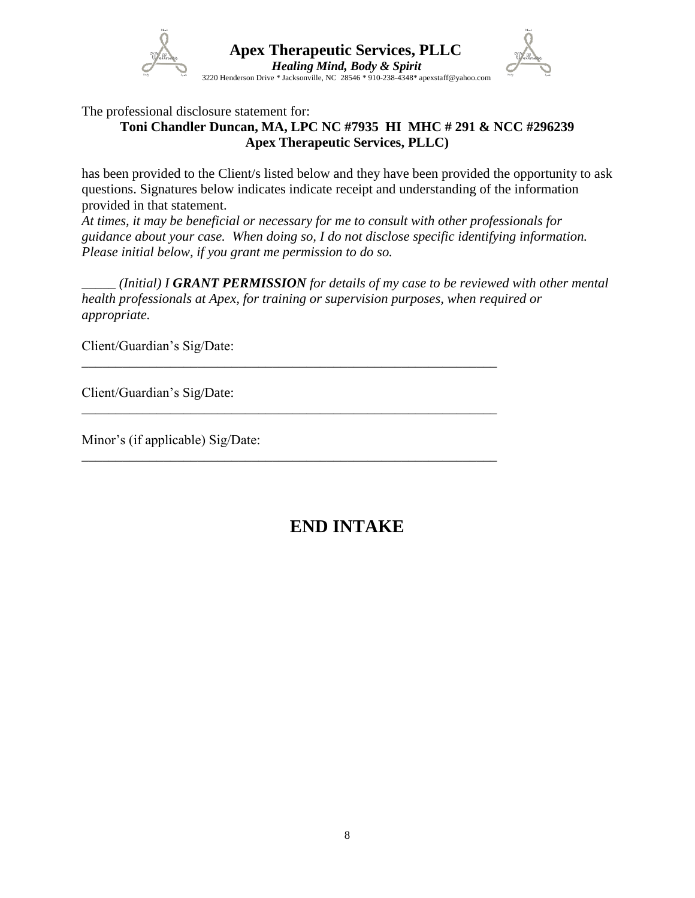

The professional disclosure statement for:

## **Toni Chandler Duncan, MA, LPC NC #7935 HI MHC # 291 & NCC #296239 Apex Therapeutic Services, PLLC)**

has been provided to the Client/s listed below and they have been provided the opportunity to ask questions. Signatures below indicates indicate receipt and understanding of the information provided in that statement.

*At times, it may be beneficial or necessary for me to consult with other professionals for guidance about your case. When doing so, I do not disclose specific identifying information. Please initial below, if you grant me permission to do so.*

*\_\_\_\_\_ (Initial) I GRANT PERMISSION for details of my case to be reviewed with other mental health professionals at Apex, for training or supervision purposes, when required or appropriate.*

\_\_\_\_\_\_\_\_\_\_\_\_\_\_\_\_\_\_\_\_\_\_\_\_\_\_\_\_\_\_\_\_\_\_\_\_\_\_\_\_\_\_\_\_\_\_\_\_\_\_\_\_\_\_\_\_\_\_\_\_\_

\_\_\_\_\_\_\_\_\_\_\_\_\_\_\_\_\_\_\_\_\_\_\_\_\_\_\_\_\_\_\_\_\_\_\_\_\_\_\_\_\_\_\_\_\_\_\_\_\_\_\_\_\_\_\_\_\_\_\_\_\_

\_\_\_\_\_\_\_\_\_\_\_\_\_\_\_\_\_\_\_\_\_\_\_\_\_\_\_\_\_\_\_\_\_\_\_\_\_\_\_\_\_\_\_\_\_\_\_\_\_\_\_\_\_\_\_\_\_\_\_\_\_

Client/Guardian's Sig/Date:

Client/Guardian's Sig/Date:

Minor's (if applicable) Sig/Date:

# **END INTAKE**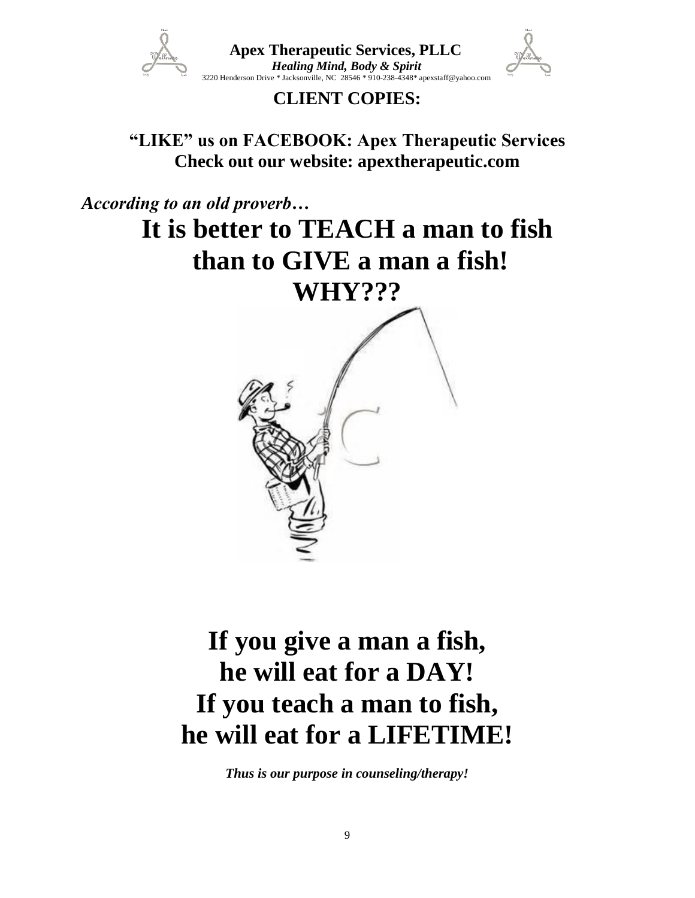

 **Apex Therapeutic Services, PLLC** *Healing Mind, Body & Spirit*<br>
3220 Henderson Drive \* Jacksonville, NC 28546 \* 910-238-4348\* apexstaff@yahoo.com

# **CLIENT COPIES:**

**"LIKE" us on FACEBOOK: Apex Therapeutic Services Check out our website: apextherapeutic.com**

*According to an old proverb…*

# **It is better to TEACH a man to fish than to GIVE a man a fish! WHY???**



# **If you give a man a fish, he will eat for a DAY! If you teach a man to fish, he will eat for a LIFETIME!**

*Thus is our purpose in counseling/therapy!*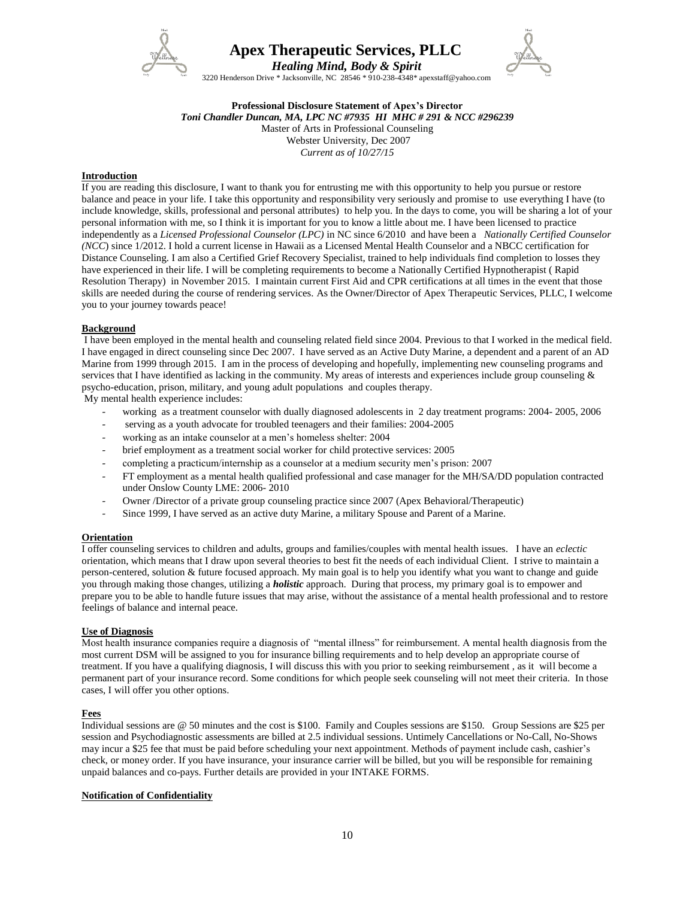

 *Healing Mind, Body & Spirit* 3220 Henderson Drive \* Jacksonville, NC 28546 \* 910-238-4348\* apexstaff@yahoo.com



### **Professional Disclosure Statement of Apex's Director**

*Toni Chandler Duncan, MA, LPC NC #7935 HI MHC # 291 & NCC #296239*

Master of Arts in Professional Counseling Webster University, Dec 2007 *Current as of 10/27/15*

### **Introduction**

If you are reading this disclosure, I want to thank you for entrusting me with this opportunity to help you pursue or restore balance and peace in your life. I take this opportunity and responsibility very seriously and promise to use everything I have (to include knowledge, skills, professional and personal attributes) to help you. In the days to come, you will be sharing a lot of your personal information with me, so I think it is important for you to know a little about me. I have been licensed to practice independently as a *Licensed Professional Counselor (LPC)* in NC since 6/2010 and have been a *Nationally Certified Counselor (NCC*) since 1/2012. I hold a current license in Hawaii as a Licensed Mental Health Counselor and a NBCC certification for Distance Counseling. I am also a Certified Grief Recovery Specialist, trained to help individuals find completion to losses they have experienced in their life. I will be completing requirements to become a Nationally Certified Hypnotherapist ( Rapid Resolution Therapy) in November 2015. I maintain current First Aid and CPR certifications at all times in the event that those skills are needed during the course of rendering services. As the Owner/Director of Apex Therapeutic Services, PLLC, I welcome you to your journey towards peace!

### **Background**

I have been employed in the mental health and counseling related field since 2004. Previous to that I worked in the medical field. I have engaged in direct counseling since Dec 2007. I have served as an Active Duty Marine, a dependent and a parent of an AD Marine from 1999 through 2015. I am in the process of developing and hopefully, implementing new counseling programs and services that I have identified as lacking in the community. My areas of interests and experiences include group counseling  $\&$ psycho-education, prison, military, and young adult populations and couples therapy.

My mental health experience includes:

- working as a treatment counselor with dually diagnosed adolescents in 2 day treatment programs: 2004- 2005, 2006
- serving as a youth advocate for troubled teenagers and their families: 2004-2005
- working as an intake counselor at a men's homeless shelter: 2004
- brief employment as a treatment social worker for child protective services: 2005
- completing a practicum/internship as a counselor at a medium security men's prison: 2007
- FT employment as a mental health qualified professional and case manager for the MH/SA/DD population contracted under Onslow County LME: 2006- 2010
- Owner /Director of a private group counseling practice since 2007 (Apex Behavioral/Therapeutic)
- Since 1999, I have served as an active duty Marine, a military Spouse and Parent of a Marine.

### **Orientation**

I offer counseling services to children and adults, groups and families/couples with mental health issues. I have an *eclectic* orientation, which means that I draw upon several theories to best fit the needs of each individual Client. I strive to maintain a person-centered, solution & future focused approach. My main goal is to help you identify what you want to change and guide you through making those changes, utilizing a *holistic* approach. During that process, my primary goal is to empower and prepare you to be able to handle future issues that may arise, without the assistance of a mental health professional and to restore feelings of balance and internal peace.

### **Use of Diagnosis**

Most health insurance companies require a diagnosis of "mental illness" for reimbursement. A mental health diagnosis from the most current DSM will be assigned to you for insurance billing requirements and to help develop an appropriate course of treatment. If you have a qualifying diagnosis, I will discuss this with you prior to seeking reimbursement , as it will become a permanent part of your insurance record. Some conditions for which people seek counseling will not meet their criteria. In those cases, I will offer you other options.

### **Fees**

Individual sessions are @ 50 minutes and the cost is \$100. Family and Couples sessions are \$150. Group Sessions are \$25 per session and Psychodiagnostic assessments are billed at 2.5 individual sessions. Untimely Cancellations or No-Call, No-Shows may incur a \$25 fee that must be paid before scheduling your next appointment. Methods of payment include cash, cashier's check, or money order. If you have insurance, your insurance carrier will be billed, but you will be responsible for remaining unpaid balances and co-pays. Further details are provided in your INTAKE FORMS.

### **Notification of Confidentiality**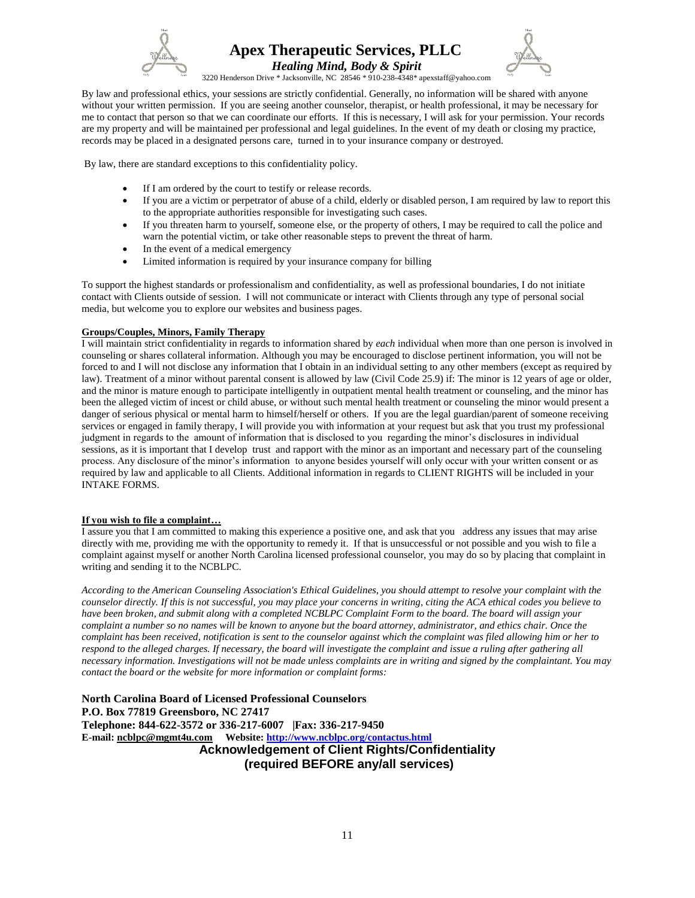



 *Healing Mind, Body & Spirit* 3220 Henderson Drive \* Jacksonville, NC 28546 \* 910-238-4348\* apexstaff@yahoo.com

By law and professional ethics, your sessions are strictly confidential. Generally, no information will be shared with anyone without your written permission. If you are seeing another counselor, therapist, or health professional, it may be necessary for me to contact that person so that we can coordinate our efforts. If this is necessary, I will ask for your permission. Your records are my property and will be maintained per professional and legal guidelines. In the event of my death or closing my practice, records may be placed in a designated persons care, turned in to your insurance company or destroyed.

By law, there are standard exceptions to this confidentiality policy.

- If I am ordered by the court to testify or release records.
- If you are a victim or perpetrator of abuse of a child, elderly or disabled person, I am required by law to report this to the appropriate authorities responsible for investigating such cases.
- If you threaten harm to yourself, someone else, or the property of others, I may be required to call the police and warn the potential victim, or take other reasonable steps to prevent the threat of harm.
- In the event of a medical emergency
- Limited information is required by your insurance company for billing

To support the highest standards or professionalism and confidentiality, as well as professional boundaries, I do not initiate contact with Clients outside of session. I will not communicate or interact with Clients through any type of personal social media, but welcome you to explore our websites and business pages.

### **Groups/Couples, Minors, Family Therapy**

I will maintain strict confidentiality in regards to information shared by *each* individual when more than one person is involved in counseling or shares collateral information. Although you may be encouraged to disclose pertinent information, you will not be forced to and I will not disclose any information that I obtain in an individual setting to any other members (except as required by law). Treatment of a minor without parental consent is allowed by law (Civil Code 25.9) if: The minor is 12 years of age or older, and the minor is mature enough to participate intelligently in outpatient mental health treatment or counseling, and the minor has been the alleged victim of incest or child abuse, or without such mental health treatment or counseling the minor would present a danger of serious physical or mental harm to himself/herself or others. If you are the legal guardian/parent of someone receiving services or engaged in family therapy, I will provide you with information at your request but ask that you trust my professional judgment in regards to the amount of information that is disclosed to you regarding the minor's disclosures in individual sessions, as it is important that I develop trust and rapport with the minor as an important and necessary part of the counseling process. Any disclosure of the minor's information to anyone besides yourself will only occur with your written consent or as required by law and applicable to all Clients. Additional information in regards to CLIENT RIGHTS will be included in your INTAKE FORMS.

### **If you wish to file a complaint…**

I assure you that I am committed to making this experience a positive one, and ask that you address any issues that may arise directly with me, providing me with the opportunity to remedy it. If that is unsuccessful or not possible and you wish to file a complaint against myself or another North Carolina licensed professional counselor, you may do so by placing that complaint in writing and sending it to the NCBLPC.

*According to the American Counseling Association's Ethical Guidelines, you should attempt to resolve your complaint with the counselor directly. If this is not successful, you may place your concerns in writing, citing the ACA ethical codes you believe to have been broken, and submit along with a completed NCBLPC Complaint Form to the board. The board will assign your complaint a number so no names will be known to anyone but the board attorney, administrator, and ethics chair. Once the complaint has been received, notification is sent to the counselor against which the complaint was filed allowing him or her to respond to the alleged charges. If necessary, the board will investigate the complaint and issue a ruling after gathering all necessary information. Investigations will not be made unless complaints are in writing and signed by the complaintant. You may contact the board or the website for more information or complaint forms:*

**North Carolina Board of Licensed Professional Counselors P.O. Box 77819 Greensboro, NC 27417 Telephone: 844-622-3572 or 336-217-6007 |Fax: 336-217-9450 E-mail: [ncblpc@mgmt4u.com](mailto:ncblpc@mgmt4u.com) Website:<http://www.ncblpc.org/contactus.html> Acknowledgement of Client Rights/Confidentiality (required BEFORE any/all services)**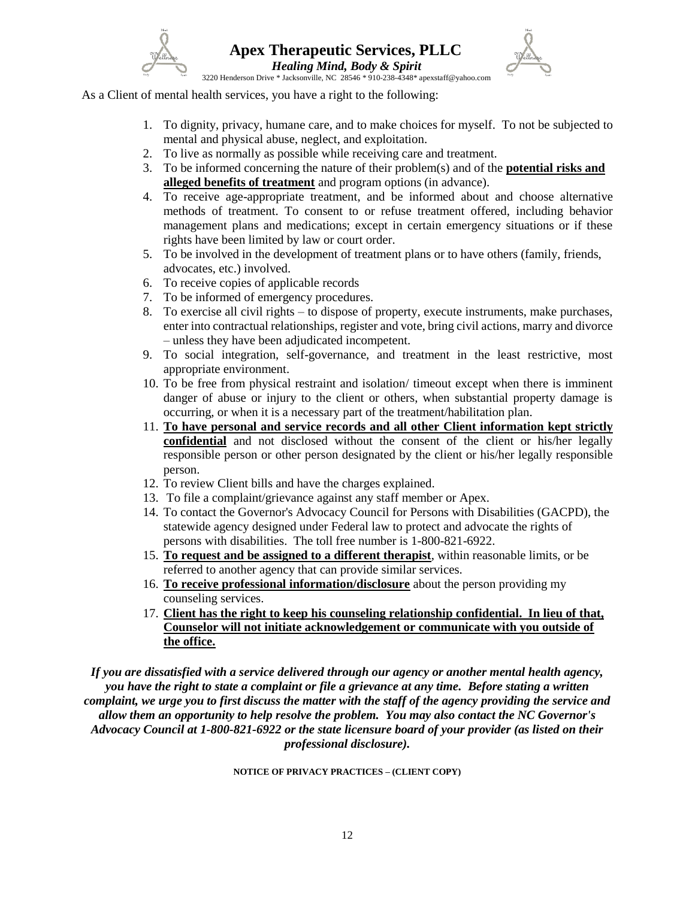

3220 Henderson Drive \* Jacksonville, NC 28546 \* 910-238-4348\* apexstaff@yahoo.com

As a Client of mental health services, you have a right to the following:

- 1. To dignity, privacy, humane care, and to make choices for myself. To not be subjected to mental and physical abuse, neglect, and exploitation.
- 2. To live as normally as possible while receiving care and treatment.
- 3. To be informed concerning the nature of their problem(s) and of the **potential risks and alleged benefits of treatment** and program options (in advance).
- 4. To receive age-appropriate treatment, and be informed about and choose alternative methods of treatment. To consent to or refuse treatment offered, including behavior management plans and medications; except in certain emergency situations or if these rights have been limited by law or court order.
- 5. To be involved in the development of treatment plans or to have others (family, friends, advocates, etc.) involved.
- 6. To receive copies of applicable records
- 7. To be informed of emergency procedures.
- 8. To exercise all civil rights to dispose of property, execute instruments, make purchases, enter into contractual relationships, register and vote, bring civil actions, marry and divorce – unless they have been adjudicated incompetent.
- 9. To social integration, self-governance, and treatment in the least restrictive, most appropriate environment.
- 10. To be free from physical restraint and isolation/ timeout except when there is imminent danger of abuse or injury to the client or others, when substantial property damage is occurring, or when it is a necessary part of the treatment/habilitation plan.
- 11. **To have personal and service records and all other Client information kept strictly confidential** and not disclosed without the consent of the client or his/her legally responsible person or other person designated by the client or his/her legally responsible person.
- 12. To review Client bills and have the charges explained.
- 13. To file a complaint/grievance against any staff member or Apex.
- 14. To contact the Governor's Advocacy Council for Persons with Disabilities (GACPD), the statewide agency designed under Federal law to protect and advocate the rights of persons with disabilities. The toll free number is 1-800-821-6922.
- 15. **To request and be assigned to a different therapist**, within reasonable limits, or be referred to another agency that can provide similar services.
- 16. **To receive professional information/disclosure** about the person providing my counseling services.
- 17. **Client has the right to keep his counseling relationship confidential. In lieu of that, Counselor will not initiate acknowledgement or communicate with you outside of the office.**

*If you are dissatisfied with a service delivered through our agency or another mental health agency, you have the right to state a complaint or file a grievance at any time. Before stating a written complaint, we urge you to first discuss the matter with the staff of the agency providing the service and allow them an opportunity to help resolve the problem. You may also contact the NC Governor's Advocacy Council at 1-800-821-6922 or the state licensure board of your provider (as listed on their professional disclosure).*

### **NOTICE OF PRIVACY PRACTICES – (CLIENT COPY)**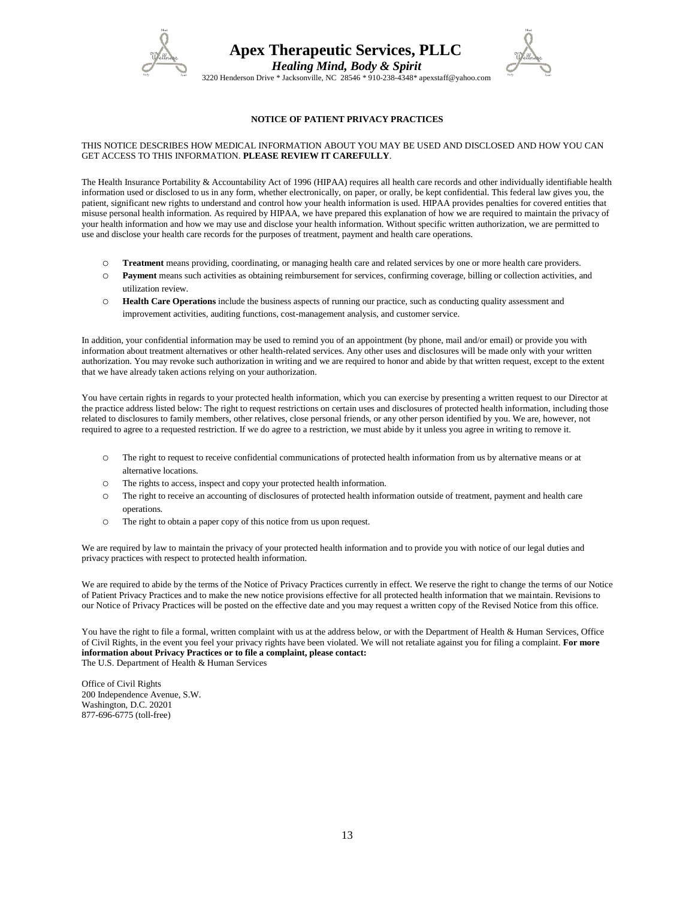



 *Healing Mind, Body & Spirit* 3220 Henderson Drive \* Jacksonville, NC 28546 \* 910-238-4348\* apexstaff@yahoo.com

### **NOTICE OF PATIENT PRIVACY PRACTICES**

#### THIS NOTICE DESCRIBES HOW MEDICAL INFORMATION ABOUT YOU MAY BE USED AND DISCLOSED AND HOW YOU CAN GET ACCESS TO THIS INFORMATION. **PLEASE REVIEW IT CAREFULLY**.

The Health Insurance Portability & Accountability Act of 1996 (HIPAA) requires all health care records and other individually identifiable health information used or disclosed to us in any form, whether electronically, on paper, or orally, be kept confidential. This federal law gives you, the patient, significant new rights to understand and control how your health information is used. HIPAA provides penalties for covered entities that misuse personal health information. As required by HIPAA, we have prepared this explanation of how we are required to maintain the privacy of your health information and how we may use and disclose your health information. Without specific written authorization, we are permitted to use and disclose your health care records for the purposes of treatment, payment and health care operations.

- o **Treatment** means providing, coordinating, or managing health care and related services by one or more health care providers.
- o **Payment** means such activities as obtaining reimbursement for services, confirming coverage, billing or collection activities, and utilization review.
- o **Health Care Operations** include the business aspects of running our practice, such as conducting quality assessment and improvement activities, auditing functions, cost-management analysis, and customer service.

In addition, your confidential information may be used to remind you of an appointment (by phone, mail and/or email) or provide you with information about treatment alternatives or other health-related services. Any other uses and disclosures will be made only with your written authorization. You may revoke such authorization in writing and we are required to honor and abide by that written request, except to the extent that we have already taken actions relying on your authorization.

You have certain rights in regards to your protected health information, which you can exercise by presenting a written request to our Director at the practice address listed below: The right to request restrictions on certain uses and disclosures of protected health information, including those related to disclosures to family members, other relatives, close personal friends, or any other person identified by you. We are, however, not required to agree to a requested restriction. If we do agree to a restriction, we must abide by it unless you agree in writing to remove it.

- o The right to request to receive confidential communications of protected health information from us by alternative means or at alternative locations.
- o The rights to access, inspect and copy your protected health information.
- o The right to receive an accounting of disclosures of protected health information outside of treatment, payment and health care operations.
- o The right to obtain a paper copy of this notice from us upon request.

We are required by law to maintain the privacy of your protected health information and to provide you with notice of our legal duties and privacy practices with respect to protected health information.

We are required to abide by the terms of the Notice of Privacy Practices currently in effect. We reserve the right to change the terms of our Notice of Patient Privacy Practices and to make the new notice provisions effective for all protected health information that we maintain. Revisions to our Notice of Privacy Practices will be posted on the effective date and you may request a written copy of the Revised Notice from this office.

You have the right to file a formal, written complaint with us at the address below, or with the Department of Health & Human Services, Office of Civil Rights, in the event you feel your privacy rights have been violated. We will not retaliate against you for filing a complaint. **For more information about Privacy Practices or to file a complaint, please contact:** The U.S. Department of Health & Human Services

Office of Civil Rights 200 Independence Avenue, S.W. Washington, D.C. 20201 877-696-6775 (toll-free)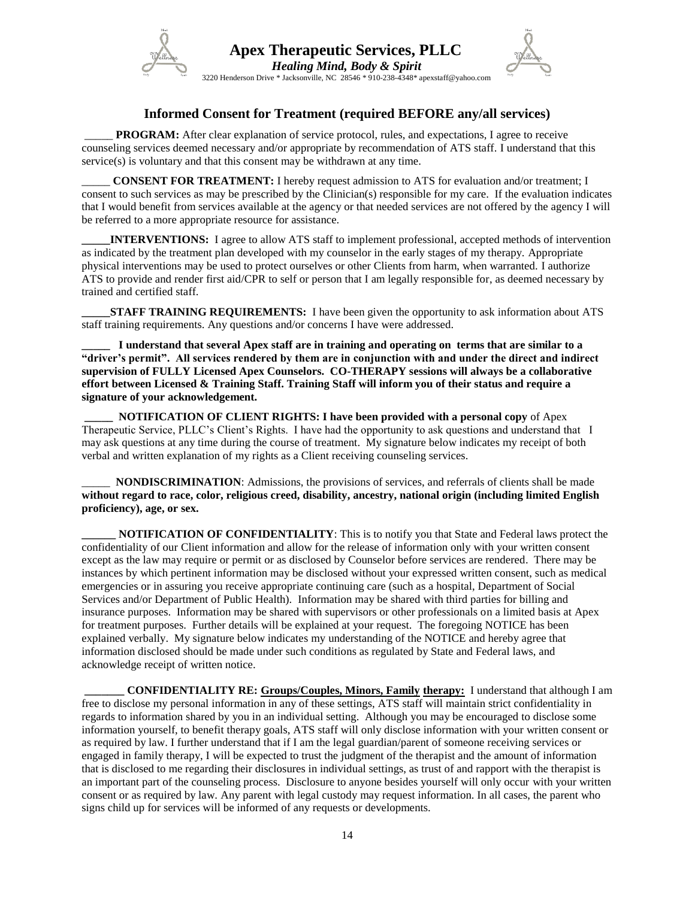

## **Informed Consent for Treatment (required BEFORE any/all services)**

3220 Henderson Drive \* Jacksonville, NC 28546 \* 910-238-4348\* apexstaff@yahoo.com

**PROGRAM:** After clear explanation of service protocol, rules, and expectations, I agree to receive counseling services deemed necessary and/or appropriate by recommendation of ATS staff. I understand that this service(s) is voluntary and that this consent may be withdrawn at any time.

**CONSENT FOR TREATMENT:** I hereby request admission to ATS for evaluation and/or treatment; I consent to such services as may be prescribed by the Clinician(s) responsible for my care. If the evaluation indicates that I would benefit from services available at the agency or that needed services are not offered by the agency I will be referred to a more appropriate resource for assistance.

**INTERVENTIONS:** I agree to allow ATS staff to implement professional, accepted methods of intervention as indicated by the treatment plan developed with my counselor in the early stages of my therapy. Appropriate physical interventions may be used to protect ourselves or other Clients from harm, when warranted. I authorize ATS to provide and render first aid/CPR to self or person that I am legally responsible for, as deemed necessary by trained and certified staff.

**STAFF TRAINING REQUIREMENTS:** I have been given the opportunity to ask information about ATS staff training requirements. Any questions and/or concerns I have were addressed.

**\_\_\_\_\_ I understand that several Apex staff are in training and operating on terms that are similar to a "driver's permit". All services rendered by them are in conjunction with and under the direct and indirect supervision of FULLY Licensed Apex Counselors. CO-THERAPY sessions will always be a collaborative effort between Licensed & Training Staff. Training Staff will inform you of their status and require a signature of your acknowledgement.**

**\_\_\_\_\_ NOTIFICATION OF CLIENT RIGHTS: I have been provided with a personal copy** of Apex Therapeutic Service, PLLC's Client's Rights. I have had the opportunity to ask questions and understand that I may ask questions at any time during the course of treatment. My signature below indicates my receipt of both verbal and written explanation of my rights as a Client receiving counseling services.

**NONDISCRIMINATION:** Admissions, the provisions of services, and referrals of clients shall be made **without regard to race, color, religious creed, disability, ancestry, national origin (including limited English proficiency), age, or sex.**

**NOTIFICATION OF CONFIDENTIALITY:** This is to notify you that State and Federal laws protect the confidentiality of our Client information and allow for the release of information only with your written consent except as the law may require or permit or as disclosed by Counselor before services are rendered. There may be instances by which pertinent information may be disclosed without your expressed written consent, such as medical emergencies or in assuring you receive appropriate continuing care (such as a hospital, Department of Social Services and/or Department of Public Health). Information may be shared with third parties for billing and insurance purposes. Information may be shared with supervisors or other professionals on a limited basis at Apex for treatment purposes. Further details will be explained at your request. The foregoing NOTICE has been explained verbally. My signature below indicates my understanding of the NOTICE and hereby agree that information disclosed should be made under such conditions as regulated by State and Federal laws, and acknowledge receipt of written notice.

**\_\_\_\_\_\_\_ CONFIDENTIALITY RE: Groups/Couples, Minors, Family therapy:** I understand that although I am free to disclose my personal information in any of these settings, ATS staff will maintain strict confidentiality in regards to information shared by you in an individual setting. Although you may be encouraged to disclose some information yourself, to benefit therapy goals, ATS staff will only disclose information with your written consent or as required by law. I further understand that if I am the legal guardian/parent of someone receiving services or engaged in family therapy, I will be expected to trust the judgment of the therapist and the amount of information that is disclosed to me regarding their disclosures in individual settings, as trust of and rapport with the therapist is an important part of the counseling process. Disclosure to anyone besides yourself will only occur with your written consent or as required by law. Any parent with legal custody may request information. In all cases, the parent who signs child up for services will be informed of any requests or developments.